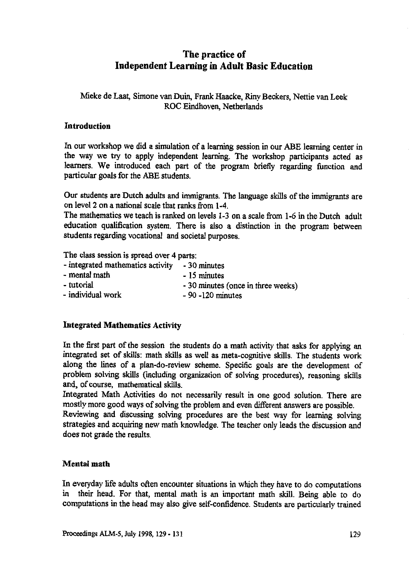# **The practice of Independent Learning in Adult Basic Education**

## Mieke de Laat, Simone van Duin, Frank Haacke, Riny Beckers, Nettie van Leek ROC Eindhoven, Netherlands

### **Introduction**

In our workshop we did a simulation of a learning session in our ABE learning center in the way we try to apply independent learning. The workshop participants acted as learners. We introduced each part of the program briefly regarding function and particular goals for the ABE students.

Our students are Dutch adults and immigrants. The language skills of the immigrants are on level 2 on a national scale that ranks from 1-4.

The mathematics we teach is ranked on levels 1-3 on a scale from 1-6 in the Dutch adult education qualification system. There is also a distinction in the program between students regarding vocational and societal purposes.

The class session is spread over 4 parts:

| - integrated mathematics activity | - 30 minutes                       |
|-----------------------------------|------------------------------------|
| - mental math                     | - 15 minutes                       |
| - tutorial                        | - 30 minutes (once in three weeks) |
| - individual work                 | $-90 - 120$ minutes                |

## **Integrated Mathematics Activity**

In the first part of the session the students do a math activity that asks for applying an integrated set of skills: math skills as well as meta-cognitive skills. The students work along the lines of a plan-do-review scheme. Specific goals are the development of problem solving skills (including organization of solving procedures), reasoning skills and, of course, mathematical skills.

Integrated Math Activities do not necessarily result in one good solution. There are mostly more good ways of solving the problem and even different answers are possible.

Reviewing and discussing solving procedures are the best way for learning solving strategies and acquiring new math knowledge. The teacher only leads the discussion and does not grade the results.

#### **Mental math**

In everyday life adults often encounter situations in which they have to do computations in their head. For that, mental math is an important math skill. Being able to do computations in the head may also give self-confidence. Students are particularly trained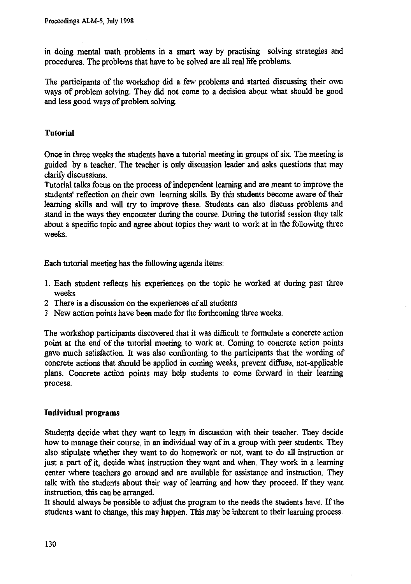**in doing mental math problems in a smart way by practising solving strategies and procedures. The problems that have to be solved are all real life problems.**

**The participants of the workshop did a few problems and started discussing their own ways of problem solving. They did not come to a decision about what should be good and less good ways of problem solving.**

# **Tutorial**

**Once in three weeks the students have a tutorial meeting in groups of six. The meeting is guided by a teacher. The teacher is only discussion leader and asks questions that may clarify discussions.**

**Tutorial talks focus on the process of independent learning and are meant to improve the students' reflection on their own learning skills. By this students become aware of their learning skills and will try to improve these. Students can also discuss problems and stand in the ways they encounter during the course. During the tutorial session they talk about a specific topic and agree about topics they want to work at in the following three weeks.**

**Each tutorial meeting has the following agenda items:**

- **1. Each student reflects his experiences on the topic he worked at during past three weeks**
- **2 There is a discussion on the experiences of all students**
- **3 New action points have been made for the forthcoming three weeks.**

**The workshop participants discovered that it was difficult to formulate a concrete action point at the end of the tutorial meeting to work at. Coming to concrete action points gave much satisfaction. It was also confronting to the participants that the wording of concrete actions that should be applied in coming weeks, prevent diffuse, not-applicable plans. Concrete action points may help students to come forward in their learning process.**

## **Individual programs**

**Students decide what they want to learn in discussion with their teacher. They decide how to manage their course, in an individual way of in a group with peer students. They also stipulate whether they want to do homework or not, want to do all instruction or just a part of it, decide what instruction they want and when. They work in a learning center where teachers go around and are available for assistance and instruction. They talk with the students about their way of learning and how they proceed. If they want instruction, this can be arranged.**

**It should always be possible to adjust the program to the needs the students have. If the students want to change, this may happen. This may be inherent to their learning process.**